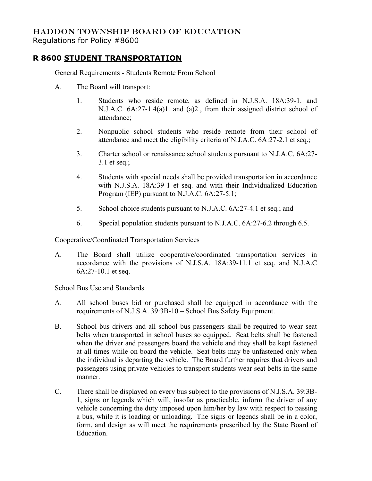## HADDON TOWNSHIP BOARD OF EDUCATION Regulations for Policy #8600

## **R 8600 STUDENT TRANSPORTATION**

General Requirements - Students Remote From School

- A. The Board will transport:
	- 1. Students who reside remote, as defined in N.J.S.A. 18A:39-1. and N.J.A.C. 6A:27-1.4(a)1. and (a)2., from their assigned district school of attendance;
	- 2. Nonpublic school students who reside remote from their school of attendance and meet the eligibility criteria of N.J.A.C. 6A:27-2.1 et seq.;
	- 3. Charter school or renaissance school students pursuant to N.J.A.C. 6A:27- 3.1 et seq.;
	- 4. Students with special needs shall be provided transportation in accordance with N.J.S.A. 18A:39-1 et seq. and with their Individualized Education Program (IEP) pursuant to N.J.A.C. 6A:27-5.1;
	- 5. School choice students pursuant to N.J.A.C. 6A:27-4.1 et seq.; and
	- 6. Special population students pursuant to N.J.A.C. 6A:27-6.2 through 6.5.

Cooperative/Coordinated Transportation Services

A. The Board shall utilize cooperative/coordinated transportation services in accordance with the provisions of N.J.S.A. 18A:39-11.1 et seq. and N.J.A.C 6A:27-10.1 et seq.

School Bus Use and Standards

- A. All school buses bid or purchased shall be equipped in accordance with the requirements of N.J.S.A. 39:3B-10 – School Bus Safety Equipment.
- B. School bus drivers and all school bus passengers shall be required to wear seat belts when transported in school buses so equipped. Seat belts shall be fastened when the driver and passengers board the vehicle and they shall be kept fastened at all times while on board the vehicle. Seat belts may be unfastened only when the individual is departing the vehicle. The Board further requires that drivers and passengers using private vehicles to transport students wear seat belts in the same manner.
- C. There shall be displayed on every bus subject to the provisions of N.J.S.A. 39:3B-1, signs or legends which will, insofar as practicable, inform the driver of any vehicle concerning the duty imposed upon him/her by law with respect to passing a bus, while it is loading or unloading. The signs or legends shall be in a color, form, and design as will meet the requirements prescribed by the State Board of Education.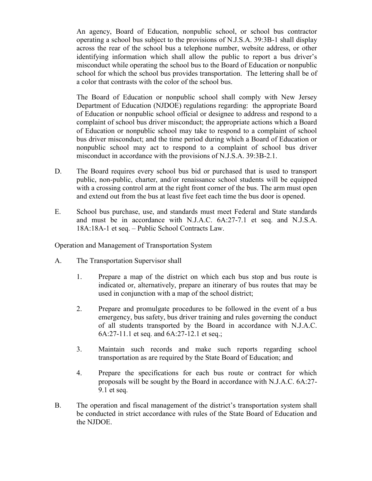An agency, Board of Education, nonpublic school, or school bus contractor operating a school bus subject to the provisions of N.J.S.A. 39:3B-1 shall display across the rear of the school bus a telephone number, website address, or other identifying information which shall allow the public to report a bus driver's misconduct while operating the school bus to the Board of Education or nonpublic school for which the school bus provides transportation. The lettering shall be of a color that contrasts with the color of the school bus.

The Board of Education or nonpublic school shall comply with New Jersey Department of Education (NJDOE) regulations regarding: the appropriate Board of Education or nonpublic school official or designee to address and respond to a complaint of school bus driver misconduct; the appropriate actions which a Board of Education or nonpublic school may take to respond to a complaint of school bus driver misconduct; and the time period during which a Board of Education or nonpublic school may act to respond to a complaint of school bus driver misconduct in accordance with the provisions of N.J.S.A. 39:3B-2.1.

- D. The Board requires every school bus bid or purchased that is used to transport public, non-public, charter, and/or renaissance school students will be equipped with a crossing control arm at the right front corner of the bus. The arm must open and extend out from the bus at least five feet each time the bus door is opened.
- E. School bus purchase, use, and standards must meet Federal and State standards and must be in accordance with N.J.A.C. 6A:27-7.1 et seq. and N.J.S.A. 18A:18A-1 et seq. – Public School Contracts Law.

Operation and Management of Transportation System

- A. The Transportation Supervisor shall
	- 1. Prepare a map of the district on which each bus stop and bus route is indicated or, alternatively, prepare an itinerary of bus routes that may be used in conjunction with a map of the school district;
	- 2. Prepare and promulgate procedures to be followed in the event of a bus emergency, bus safety, bus driver training and rules governing the conduct of all students transported by the Board in accordance with N.J.A.C. 6A:27-11.1 et seq. and 6A:27-12.1 et seq.;
	- 3. Maintain such records and make such reports regarding school transportation as are required by the State Board of Education; and
	- 4. Prepare the specifications for each bus route or contract for which proposals will be sought by the Board in accordance with N.J.A.C. 6A:27- 9.1 et seq.
- B. The operation and fiscal management of the district's transportation system shall be conducted in strict accordance with rules of the State Board of Education and the NJDOE.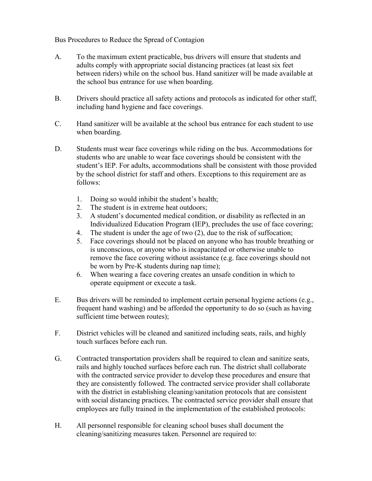Bus Procedures to Reduce the Spread of Contagion

- A. To the maximum extent practicable, bus drivers will ensure that students and adults comply with appropriate social distancing practices (at least six feet between riders) while on the school bus. Hand sanitizer will be made available at the school bus entrance for use when boarding.
- B. Drivers should practice all safety actions and protocols as indicated for other staff, including hand hygiene and face coverings.
- C. Hand sanitizer will be available at the school bus entrance for each student to use when boarding.
- D. Students must wear face coverings while riding on the bus. Accommodations for students who are unable to wear face coverings should be consistent with the student's IEP. For adults, accommodations shall be consistent with those provided by the school district for staff and others. Exceptions to this requirement are as follows:
	- 1. Doing so would inhibit the student's health;
	- 2. The student is in extreme heat outdoors;
	- 3. A student's documented medical condition, or disability as reflected in an Individualized Education Program (IEP), precludes the use of face covering;
	- 4. The student is under the age of two (2), due to the risk of suffocation;
	- 5. Face coverings should not be placed on anyone who has trouble breathing or is unconscious, or anyone who is incapacitated or otherwise unable to remove the face covering without assistance (e.g. face coverings should not be worn by Pre-K students during nap time);
	- 6. When wearing a face covering creates an unsafe condition in which to operate equipment or execute a task.
- E. Bus drivers will be reminded to implement certain personal hygiene actions (e.g., frequent hand washing) and be afforded the opportunity to do so (such as having sufficient time between routes);
- F. District vehicles will be cleaned and sanitized including seats, rails, and highly touch surfaces before each run.
- G. Contracted transportation providers shall be required to clean and sanitize seats, rails and highly touched surfaces before each run. The district shall collaborate with the contracted service provider to develop these procedures and ensure that they are consistently followed. The contracted service provider shall collaborate with the district in establishing cleaning/sanitation protocols that are consistent with social distancing practices. The contracted service provider shall ensure that employees are fully trained in the implementation of the established protocols:
- H. All personnel responsible for cleaning school buses shall document the cleaning/sanitizing measures taken. Personnel are required to: